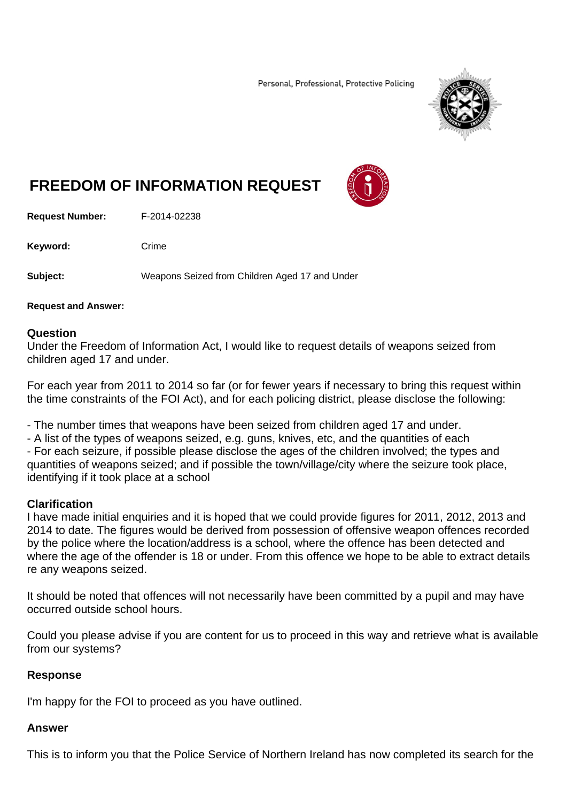Personal, Professional, Protective Policing



# **FREEDOM OF INFORMATION REQUEST**

**Request Number:** F-2014-02238

Keyword: Crime

**Subject:** Weapons Seized from Children Aged 17 and Under

**Request and Answer:** 

#### **Question**

Under the Freedom of Information Act, I would like to request details of weapons seized from children aged 17 and under.

For each year from 2011 to 2014 so far (or for fewer years if necessary to bring this request within the time constraints of the FOI Act), and for each policing district, please disclose the following:

- The number times that weapons have been seized from children aged 17 and under.

- A list of the types of weapons seized, e.g. guns, knives, etc, and the quantities of each

- For each seizure, if possible please disclose the ages of the children involved; the types and quantities of weapons seized; and if possible the town/village/city where the seizure took place, identifying if it took place at a school

## **Clarification**

I have made initial enquiries and it is hoped that we could provide figures for 2011, 2012, 2013 and 2014 to date. The figures would be derived from possession of offensive weapon offences recorded by the police where the location/address is a school, where the offence has been detected and where the age of the offender is 18 or under. From this offence we hope to be able to extract details re any weapons seized.

It should be noted that offences will not necessarily have been committed by a pupil and may have occurred outside school hours.

Could you please advise if you are content for us to proceed in this way and retrieve what is available from our systems?

## **Response**

I'm happy for the FOI to proceed as you have outlined.

## **Answer**

This is to inform you that the Police Service of Northern Ireland has now completed its search for the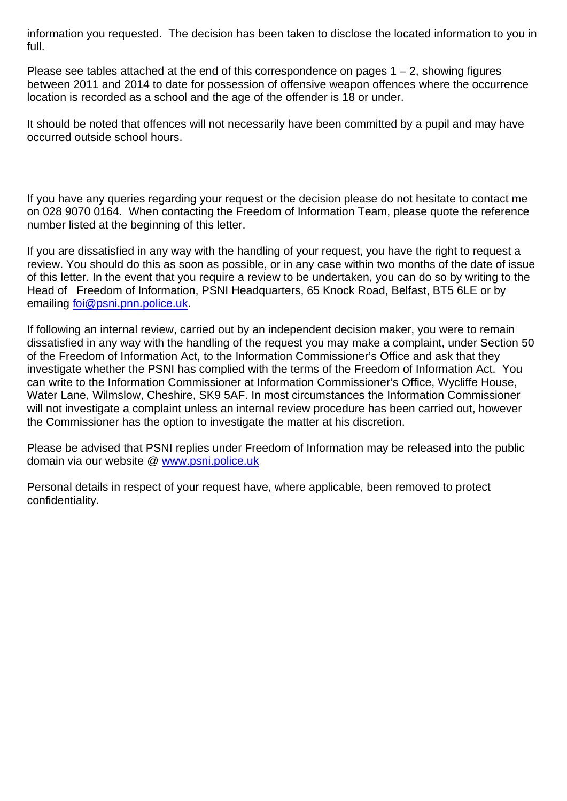information you requested. The decision has been taken to disclose the located information to you in full.

Please see tables attached at the end of this correspondence on pages  $1 - 2$ , showing figures between 2011 and 2014 to date for possession of offensive weapon offences where the occurrence location is recorded as a school and the age of the offender is 18 or under.

It should be noted that offences will not necessarily have been committed by a pupil and may have occurred outside school hours.

If you have any queries regarding your request or the decision please do not hesitate to contact me on 028 9070 0164. When contacting the Freedom of Information Team, please quote the reference number listed at the beginning of this letter.

If you are dissatisfied in any way with the handling of your request, you have the right to request a review. You should do this as soon as possible, or in any case within two months of the date of issue of this letter. In the event that you require a review to be undertaken, you can do so by writing to the Head of Freedom of Information, PSNI Headquarters, 65 Knock Road, Belfast, BT5 6LE or by emailing foi@psni.pnn.police.uk.

If following an internal review, carried out by an independent decision maker, you were to remain dissatisfied in any way with the handling of the request you may make a complaint, under Section 50 of the Freedom of Information Act, to the Information Commissioner's Office and ask that they investigate whether the PSNI has complied with the terms of the Freedom of Information Act. You can write to the Information Commissioner at Information Commissioner's Office, Wycliffe House, Water Lane, Wilmslow, Cheshire, SK9 5AF. In most circumstances the Information Commissioner will not investigate a complaint unless an internal review procedure has been carried out, however the Commissioner has the option to investigate the matter at his discretion.

Please be advised that PSNI replies under Freedom of Information may be released into the public domain via our website @ www.psni.police.uk

Personal details in respect of your request have, where applicable, been removed to protect confidentiality.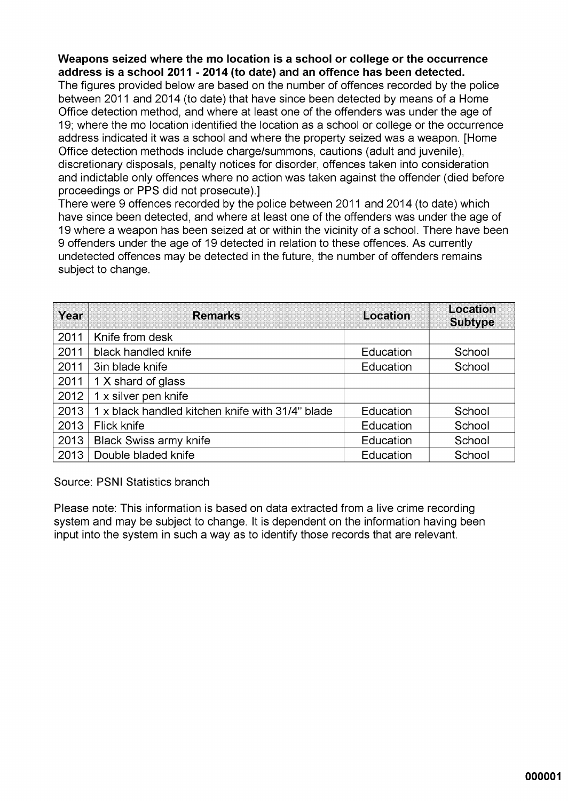## Weapons seized where the mo location is a school or college or the occurrence address is a school 2011 - 2014 (to date) and an offence has been detected.

The figures provided below are based on the number of offences recorded by the police between 2011 and 2014 (to date) that have since been detected by means of a Home Office detection method, and where at least one of the offenders was under the age of 19; where the mo location identified the location as a school or college or the occurrence address indicated it was a school and where the property seized was a weapon. [Home Office detection methods include charge/summons, cautions (adult and juvenile), discretionary disposals, penalty notices for disorder, offences taken into consideration and indictable only offences where no action was taken against the offender (died before proceedings or PPS did not prosecute).]

There were 9 offences recorded by the police between 2011 and 2014 (to date) which have since been detected, and where at least one of the offenders was under the age of 19 where a weapon has been seized at or within the vicinity of a school. There have been 9 offenders under the age of 19 detected in relation to these offences. As currently undetected offences may be detected in the future, the number of offenders remains subject to change.

| Year | <b>Remarks</b>                                   | Location  | Location<br><b>Subtype</b> |
|------|--------------------------------------------------|-----------|----------------------------|
| 2011 | Knife from desk                                  |           |                            |
| 2011 | black handled knife                              | Education | School                     |
| 2011 | 3in blade knife                                  | Education | School                     |
| 2011 | 1 X shard of glass                               |           |                            |
| 2012 | 1 x silver pen knife                             |           |                            |
| 2013 | 1 x black handled kitchen knife with 31/4" blade | Education | School                     |
| 2013 | Flick knife                                      | Education | School                     |
| 2013 | <b>Black Swiss army knife</b>                    | Education | School                     |
| 2013 | Double bladed knife                              | Education | School                     |

Source: PSNI Statistics branch

Please note: This information is based on data extracted from a live crime recording system and may be subject to change. It is dependent on the information having been input into the system in such a way as to identify those records that are relevant.